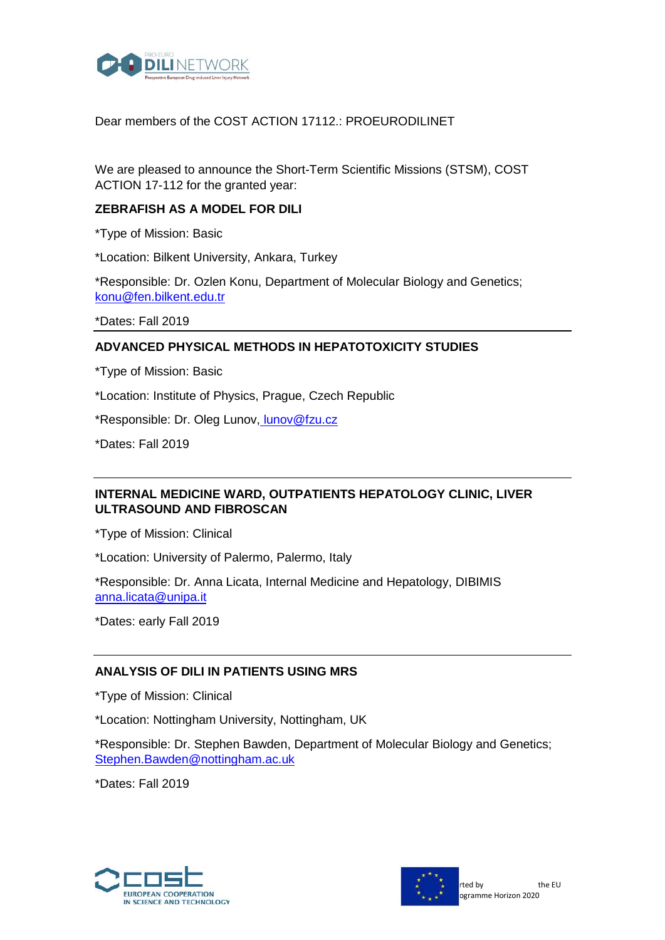

### Dear members of the COST ACTION 17112.: PROEURODILINET

We are pleased to announce the Short-Term Scientific Missions (STSM), COST ACTION 17-112 for the granted year:

#### **ZEBRAFISH AS A MODEL FOR DILI**

\*Type of Mission: Basic

\*Location: Bilkent University, Ankara, Turkey

\*Responsible: Dr. Ozlen Konu, Department of Molecular Biology and Genetics; konu@fen.bilkent.edu.tr

\*Dates: Fall 2019

#### **ADVANCED PHYSICAL METHODS IN HEPATOTOXICITY STUDIES**

\*Type of Mission: Basic

\*Location: Institute of Physics, Prague, Czech Republic

\*Responsible: Dr. Oleg Lunov, lunov@fzu.cz

\*Dates: Fall 2019

# **INTERNAL MEDICINE WARD, OUTPATIENTS HEPATOLOGY CLINIC, LIVER ULTRASOUND AND FIBROSCAN**

\*Type of Mission: Clinical

\*Location: University of Palermo, Palermo, Italy

\*Responsible: Dr. Anna Licata, Internal Medicine and Hepatology, DIBIMIS anna.licata@unipa.it

\*Dates: early Fall 2019

## **ANALYSIS OF DILI IN PATIENTS USING MRS**

\*Type of Mission: Clinical

\*Location: Nottingham University, Nottingham, UK

\*Responsible: Dr. Stephen Bawden, Department of Molecular Biology and Genetics; [Stephen.Bawden@nottingham.ac.uk](mailto:Stephen.Bawden@nottingham.ac.uk)

\*Dates: Fall 2019